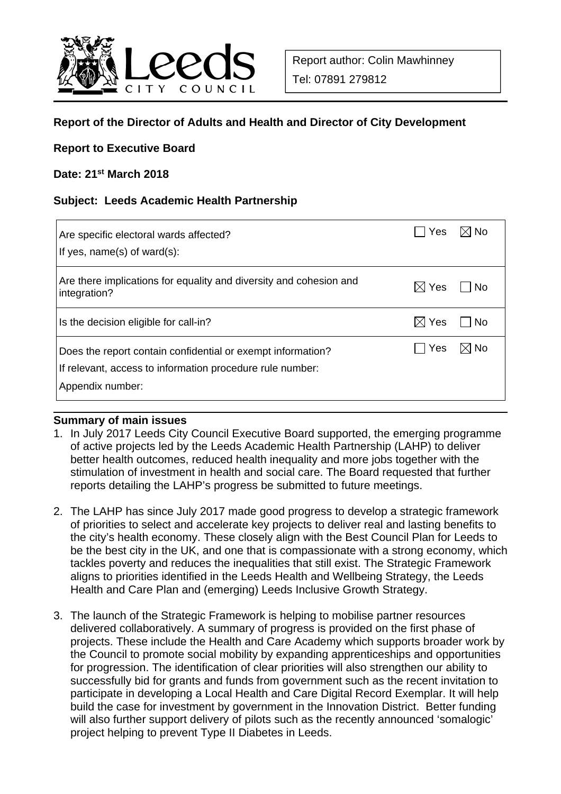

# **Report of the Director of Adults and Health and Director of City Development**

#### **Report to Executive Board**

#### **Date: 21st March 2018**

#### **Subject: Leeds Academic Health Partnership**

| Are specific electoral wards affected?<br>If yes, $name(s)$ of ward $(s)$ :                                                                  | Yes .           | $\boxtimes$ l No |
|----------------------------------------------------------------------------------------------------------------------------------------------|-----------------|------------------|
| Are there implications for equality and diversity and cohesion and<br>integration?                                                           | $\boxtimes$ Yes | l No             |
| Is the decision eligible for call-in?                                                                                                        | $\boxtimes$ Yes | l No             |
| Does the report contain confidential or exempt information?<br>If relevant, access to information procedure rule number:<br>Appendix number: | Yes             | $\boxtimes$ No   |

#### **Summary of main issues**

- 1. In July 2017 Leeds City Council Executive Board supported, the emerging programme of active projects led by the Leeds Academic Health Partnership (LAHP) to deliver better health outcomes, reduced health inequality and more jobs together with the stimulation of investment in health and social care. The Board requested that further reports detailing the LAHP's progress be submitted to future meetings.
- 2. The LAHP has since July 2017 made good progress to develop a strategic framework of priorities to select and accelerate key projects to deliver real and lasting benefits to the city's health economy. These closely align with the Best Council Plan for Leeds to be the best city in the UK, and one that is compassionate with a strong economy, which tackles poverty and reduces the inequalities that still exist. The Strategic Framework aligns to priorities identified in the Leeds Health and Wellbeing Strategy, the Leeds Health and Care Plan and (emerging) Leeds Inclusive Growth Strategy.
- 3. The launch of the Strategic Framework is helping to mobilise partner resources delivered collaboratively. A summary of progress is provided on the first phase of projects. These include the Health and Care Academy which supports broader work by the Council to promote social mobility by expanding apprenticeships and opportunities for progression. The identification of clear priorities will also strengthen our ability to successfully bid for grants and funds from government such as the recent invitation to participate in developing a Local Health and Care Digital Record Exemplar. It will help build the case for investment by government in the Innovation District. Better funding will also further support delivery of pilots such as the recently announced 'somalogic' project helping to prevent Type II Diabetes in Leeds.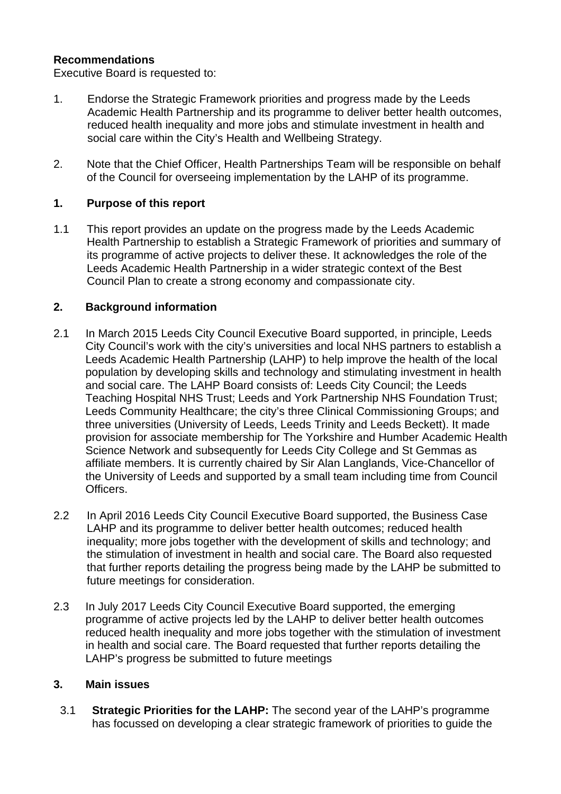## **Recommendations**

Executive Board is requested to:

- 1. Endorse the Strategic Framework priorities and progress made by the Leeds Academic Health Partnership and its programme to deliver better health outcomes, reduced health inequality and more jobs and stimulate investment in health and social care within the City's Health and Wellbeing Strategy.
- 2. Note that the Chief Officer, Health Partnerships Team will be responsible on behalf of the Council for overseeing implementation by the LAHP of its programme.

## **1. Purpose of this report**

1.1 This report provides an update on the progress made by the Leeds Academic Health Partnership to establish a Strategic Framework of priorities and summary of its programme of active projects to deliver these. It acknowledges the role of the Leeds Academic Health Partnership in a wider strategic context of the Best Council Plan to create a strong economy and compassionate city.

## **2. Background information**

- 2.1 In March 2015 Leeds City Council Executive Board supported, in principle, Leeds City Council's work with the city's universities and local NHS partners to establish a Leeds Academic Health Partnership (LAHP) to help improve the health of the local population by developing skills and technology and stimulating investment in health and social care. The LAHP Board consists of: Leeds City Council; the Leeds Teaching Hospital NHS Trust; Leeds and York Partnership NHS Foundation Trust; Leeds Community Healthcare; the city's three Clinical Commissioning Groups; and three universities (University of Leeds, Leeds Trinity and Leeds Beckett). It made provision for associate membership for The Yorkshire and Humber Academic Health Science Network and subsequently for Leeds City College and St Gemmas as affiliate members. It is currently chaired by Sir Alan Langlands, Vice-Chancellor of the University of Leeds and supported by a small team including time from Council Officers.
- 2.2 In April 2016 Leeds City Council Executive Board supported, the Business Case LAHP and its programme to deliver better health outcomes; reduced health inequality; more jobs together with the development of skills and technology; and the stimulation of investment in health and social care. The Board also requested that further reports detailing the progress being made by the LAHP be submitted to future meetings for consideration.
- 2.3 In July 2017 Leeds City Council Executive Board supported, the emerging programme of active projects led by the LAHP to deliver better health outcomes reduced health inequality and more jobs together with the stimulation of investment in health and social care. The Board requested that further reports detailing the LAHP's progress be submitted to future meetings

#### **3. Main issues**

3.1 **Strategic Priorities for the LAHP:** The second year of the LAHP's programme has focussed on developing a clear strategic framework of priorities to guide the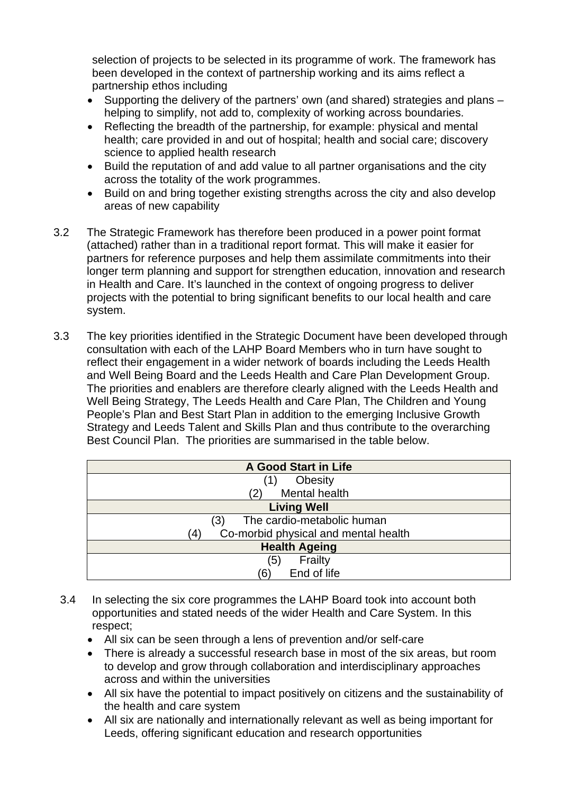selection of projects to be selected in its programme of work. The framework has been developed in the context of partnership working and its aims reflect a partnership ethos including

- Supporting the delivery of the partners' own (and shared) strategies and plans helping to simplify, not add to, complexity of working across boundaries.
- Reflecting the breadth of the partnership, for example: physical and mental health; care provided in and out of hospital; health and social care; discovery science to applied health research
- Build the reputation of and add value to all partner organisations and the city across the totality of the work programmes.
- Build on and bring together existing strengths across the city and also develop areas of new capability
- 3.2 The Strategic Framework has therefore been produced in a power point format (attached) rather than in a traditional report format. This will make it easier for partners for reference purposes and help them assimilate commitments into their longer term planning and support for strengthen education, innovation and research in Health and Care. It's launched in the context of ongoing progress to deliver projects with the potential to bring significant benefits to our local health and care system.
- 3.3 The key priorities identified in the Strategic Document have been developed through consultation with each of the LAHP Board Members who in turn have sought to reflect their engagement in a wider network of boards including the Leeds Health and Well Being Board and the Leeds Health and Care Plan Development Group. The priorities and enablers are therefore clearly aligned with the Leeds Health and Well Being Strategy, The Leeds Health and Care Plan, The Children and Young People's Plan and Best Start Plan in addition to the emerging Inclusive Growth Strategy and Leeds Talent and Skills Plan and thus contribute to the overarching Best Council Plan. The priorities are summarised in the table below.

| <b>A Good Start in Life</b>                 |  |  |
|---------------------------------------------|--|--|
| Obesity<br>(1)                              |  |  |
| Mental health<br>(2)                        |  |  |
| <b>Living Well</b>                          |  |  |
| The cardio-metabolic human<br>(3)           |  |  |
| Co-morbid physical and mental health<br>(4) |  |  |
| <b>Health Ageing</b>                        |  |  |
| Frailty<br>(5)                              |  |  |
| End of life<br>'6)                          |  |  |

- 3.4 In selecting the six core programmes the LAHP Board took into account both opportunities and stated needs of the wider Health and Care System. In this respect;
	- All six can be seen through a lens of prevention and/or self-care
	- There is already a successful research base in most of the six areas, but room to develop and grow through collaboration and interdisciplinary approaches across and within the universities
	- All six have the potential to impact positively on citizens and the sustainability of the health and care system
	- All six are nationally and internationally relevant as well as being important for Leeds, offering significant education and research opportunities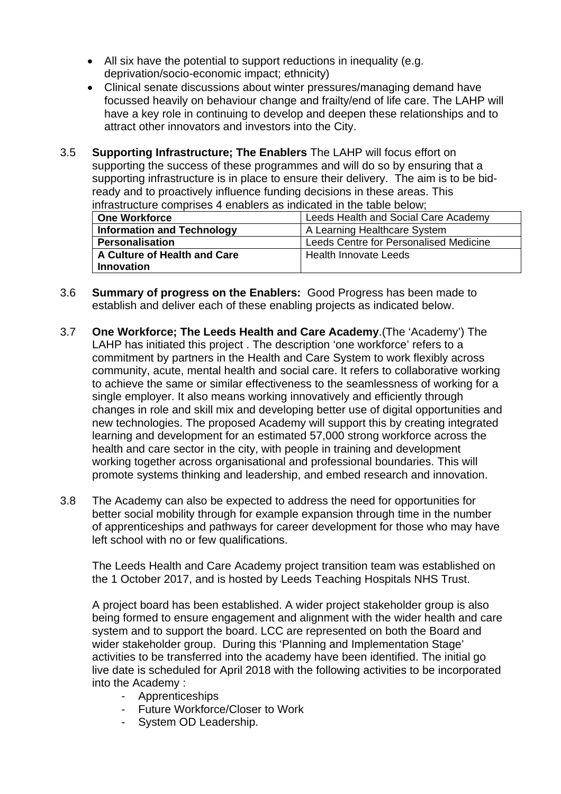- All six have the potential to support reductions in inequality (e.g. deprivation/socio-economic impact; ethnicity)
- Clinical senate discussions about winter pressures/managing demand have focussed heavily on behaviour change and frailty/end of life care. The LAHP will have a key role in continuing to develop and deepen these relationships and to attract other innovators and investors into the City.
- 3.5 **Supporting Infrastructure; The Enablers** The LAHP will focus effort on supporting the success of these programmes and will do so by ensuring that a supporting infrastructure is in place to ensure their delivery. The aim is to be bidready and to proactively influence funding decisions in these areas. This infrastructure comprises 4 enablers as indicated in the table below;

| <b>One Workforce</b>              | Leeds Health and Social Care Academy   |  |
|-----------------------------------|----------------------------------------|--|
| <b>Information and Technology</b> | A Learning Healthcare System           |  |
| <b>Personalisation</b>            | Leeds Centre for Personalised Medicine |  |
| A Culture of Health and Care      | Health Innovate Leeds                  |  |
| <b>Innovation</b>                 |                                        |  |

- 3.6 **Summary of progress on the Enablers:** Good Progress has been made to establish and deliver each of these enabling projects as indicated below.
- 3.7 **One Workforce; The Leeds Health and Care Academy**.(The 'Academy') The LAHP has initiated this project . The description 'one workforce' refers to a commitment by partners in the Health and Care System to work flexibly across community, acute, mental health and social care. It refers to collaborative working to achieve the same or similar effectiveness to the seamlessness of working for a single employer. It also means working innovatively and efficiently through changes in role and skill mix and developing better use of digital opportunities and new technologies. The proposed Academy will support this by creating integrated learning and development for an estimated 57,000 strong workforce across the health and care sector in the city, with people in training and development working together across organisational and professional boundaries. This will promote systems thinking and leadership, and embed research and innovation.
- 3.8 The Academy can also be expected to address the need for opportunities for better social mobility through for example expansion through time in the number of apprenticeships and pathways for career development for those who may have left school with no or few qualifications.

The Leeds Health and Care Academy project transition team was established on the 1 October 2017, and is hosted by Leeds Teaching Hospitals NHS Trust.

A project board has been established. A wider project stakeholder group is also being formed to ensure engagement and alignment with the wider health and care system and to support the board. LCC are represented on both the Board and wider stakeholder group. During this 'Planning and Implementation Stage' activities to be transferred into the academy have been identified. The initial go live date is scheduled for April 2018 with the following activities to be incorporated into the Academy :

- Apprenticeships
- Future Workforce/Closer to Work
- System OD Leadership.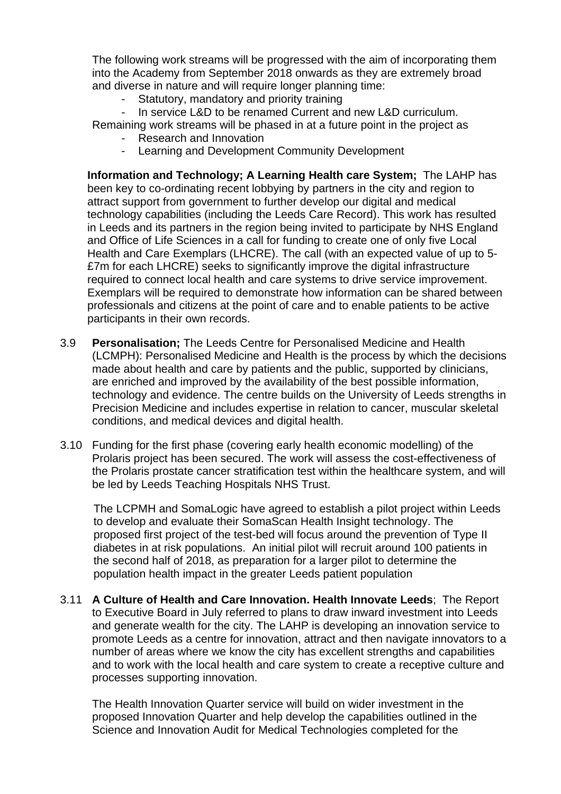The following work streams will be progressed with the aim of incorporating them into the Academy from September 2018 onwards as they are extremely broad and diverse in nature and will require longer planning time:

- Statutory, mandatory and priority training
- In service L&D to be renamed Current and new L&D curriculum.

Remaining work streams will be phased in at a future point in the project as

- Research and Innovation
- Learning and Development Community Development

**Information and Technology; A Learning Health care System;** The LAHP has been key to co-ordinating recent lobbying by partners in the city and region to attract support from government to further develop our digital and medical technology capabilities (including the Leeds Care Record). This work has resulted in Leeds and its partners in the region being invited to participate by NHS England and Office of Life Sciences in a call for funding to create one of only five Local Health and Care Exemplars (LHCRE). The call (with an expected value of up to 5- £7m for each LHCRE) seeks to significantly improve the digital infrastructure required to connect local health and care systems to drive service improvement. Exemplars will be required to demonstrate how information can be shared between professionals and citizens at the point of care and to enable patients to be active participants in their own records.

- 3.9 **Personalisation;** The Leeds Centre for Personalised Medicine and Health (LCMPH): Personalised Medicine and Health is the process by which the decisions made about health and care by patients and the public, supported by clinicians, are enriched and improved by the availability of the best possible information, technology and evidence. The centre builds on the University of Leeds strengths in Precision Medicine and includes expertise in relation to cancer, muscular skeletal conditions, and medical devices and digital health.
- 3.10 Funding for the first phase (covering early health economic modelling) of the Prolaris project has been secured. The work will assess the cost-effectiveness of the Prolaris prostate cancer stratification test within the healthcare system, and will be led by Leeds Teaching Hospitals NHS Trust.

The LCPMH and SomaLogic have agreed to establish a pilot project within Leeds to develop and evaluate their SomaScan Health Insight technology. The proposed first project of the test-bed will focus around the prevention of Type II diabetes in at risk populations. An initial pilot will recruit around 100 patients in the second half of 2018, as preparation for a larger pilot to determine the population health impact in the greater Leeds patient population

3.11 **A Culture of Health and Care Innovation. Health Innovate Leeds**; The Report to Executive Board in July referred to plans to draw inward investment into Leeds and generate wealth for the city. The LAHP is developing an innovation service to promote Leeds as a centre for innovation, attract and then navigate innovators to a number of areas where we know the city has excellent strengths and capabilities and to work with the local health and care system to create a receptive culture and processes supporting innovation.

The Health Innovation Quarter service will build on wider investment in the proposed Innovation Quarter and help develop the capabilities outlined in the Science and Innovation Audit for Medical Technologies completed for the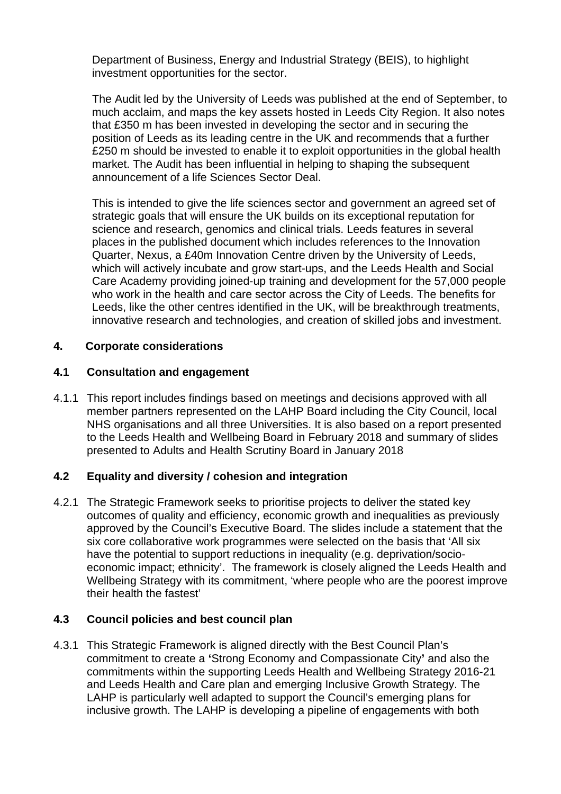Department of Business, Energy and Industrial Strategy (BEIS), to highlight investment opportunities for the sector.

The Audit led by the University of Leeds was published at the end of September, to much acclaim, and maps the key assets hosted in Leeds City Region. It also notes that £350 m has been invested in developing the sector and in securing the position of Leeds as its leading centre in the UK and recommends that a further £250 m should be invested to enable it to exploit opportunities in the global health market. The Audit has been influential in helping to shaping the subsequent announcement of a life Sciences Sector Deal.

This is intended to give the life sciences sector and government an agreed set of strategic goals that will ensure the UK builds on its exceptional reputation for science and research, genomics and clinical trials. Leeds features in several places in the published document which includes references to the Innovation Quarter, Nexus, a £40m Innovation Centre driven by the University of Leeds, which will actively incubate and grow start-ups, and the Leeds Health and Social Care Academy providing joined-up training and development for the 57,000 people who work in the health and care sector across the City of Leeds. The benefits for Leeds, like the other centres identified in the UK, will be breakthrough treatments, innovative research and technologies, and creation of skilled jobs and investment.

# **4. Corporate considerations**

## **4.1 Consultation and engagement**

4.1.1 This report includes findings based on meetings and decisions approved with all member partners represented on the LAHP Board including the City Council, local NHS organisations and all three Universities. It is also based on a report presented to the Leeds Health and Wellbeing Board in February 2018 and summary of slides presented to Adults and Health Scrutiny Board in January 2018

## **4.2 Equality and diversity / cohesion and integration**

4.2.1 The Strategic Framework seeks to prioritise projects to deliver the stated key outcomes of quality and efficiency, economic growth and inequalities as previously approved by the Council's Executive Board. The slides include a statement that the six core collaborative work programmes were selected on the basis that 'All six have the potential to support reductions in inequality (e.g. deprivation/socioeconomic impact; ethnicity'. The framework is closely aligned the Leeds Health and Wellbeing Strategy with its commitment, 'where people who are the poorest improve their health the fastest'

## **4.3 Council policies and best council plan**

4.3.1 This Strategic Framework is aligned directly with the Best Council Plan's commitment to create a **'**Strong Economy and Compassionate City**'** and also the commitments within the supporting Leeds Health and Wellbeing Strategy 2016-21 and Leeds Health and Care plan and emerging Inclusive Growth Strategy. The LAHP is particularly well adapted to support the Council's emerging plans for inclusive growth. The LAHP is developing a pipeline of engagements with both